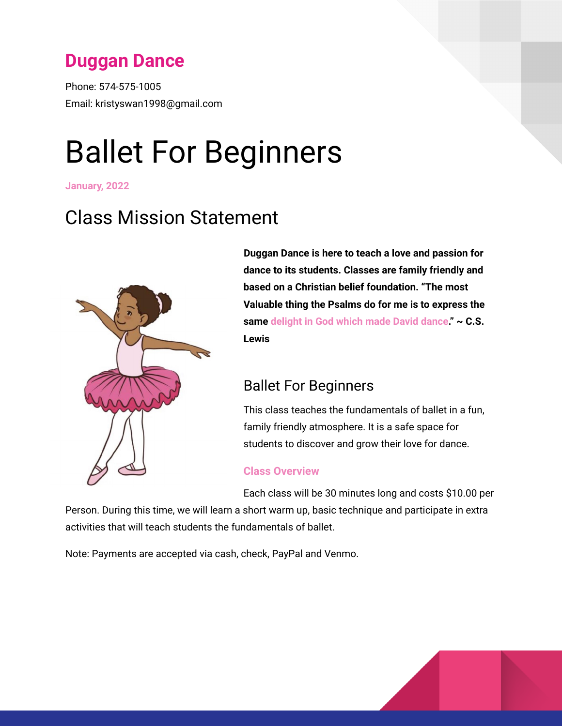# **Duggan Dance**

Phone: 574-575-1005 Email: kristyswan1998@gmail.com

# Ballet For Beginners

**January, 2022**

# Class Mission Statement



**Duggan Dance is here to teach a love and passion for dance to its students. Classes are family friendly and based on a Christian belief foundation. "The most Valuable thing the Psalms do for me is to express the same delight in God which made David dance." ~ C.S. Lewis**

## Ballet For Beginners

This class teaches the fundamentals of ballet in a fun, family friendly atmosphere. It is a safe space for students to discover and grow their love for dance.

#### **Class Overview**

Each class will be 30 minutes long and costs \$10.00 per

Person. During this time, we will learn a short warm up, basic technique and participate in extra activities that will teach students the fundamentals of ballet.

Note: Payments are accepted via cash, check, PayPal and Venmo.